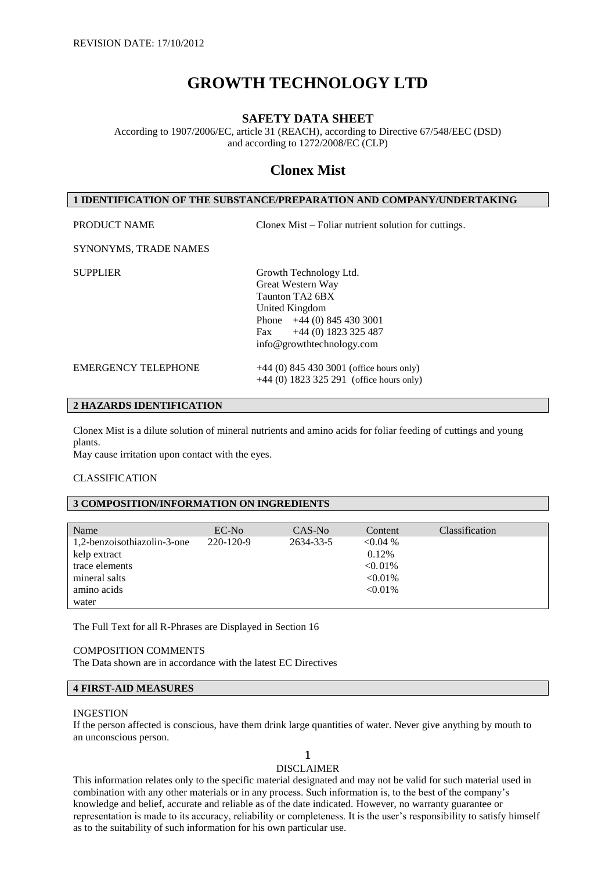# **GROWTH TECHNOLOGY LTD**

# **SAFETY DATA SHEET**

According to 1907/2006/EC, article 31 (REACH), according to Directive 67/548/EEC (DSD) and according to 1272/2008/EC (CLP)

# **Clonex Mist**

# **1 IDENTIFICATION OF THE SUBSTANCE/PREPARATION AND COMPANY/UNDERTAKING**

PRODUCT NAME Clonex Mist – Foliar nutrient solution for cuttings.

# SYNONYMS, TRADE NAMES

SUPPLIER Growth Technology Ltd. Great Western Way Taunton TA2 6BX United Kingdom Phone +44 (0) 845 430 3001 Fax +44 (0) 1823 325 487 info@growthtechnology.com EMERGENCY TELEPHONE  $+44(0) 845 430 3001$  (office hours only)

+44 (0) 1823 325 291 (office hours only)

# **2 HAZARDS IDENTIFICATION**

Clonex Mist is a dilute solution of mineral nutrients and amino acids for foliar feeding of cuttings and young plants.

May cause irritation upon contact with the eyes.

#### CLASSIFICATION

# **3 COMPOSITION/INFORMATION ON INGREDIENTS**

| Name                        | $EC-N0$   | CAS-No    | Content    | <b>Classification</b> |
|-----------------------------|-----------|-----------|------------|-----------------------|
| 1,2-benzoisothiazolin-3-one | 220-120-9 | 2634-33-5 | < 0.04 %   |                       |
| kelp extract                |           |           | 0.12%      |                       |
| trace elements              |           |           | $< 0.01\%$ |                       |
| mineral salts               |           |           | $< 0.01\%$ |                       |
| amino acids                 |           |           | $< 0.01\%$ |                       |
| water                       |           |           |            |                       |

The Full Text for all R-Phrases are Displayed in Section 16

#### COMPOSITION COMMENTS

The Data shown are in accordance with the latest EC Directives

#### **4 FIRST-AID MEASURES**

#### INGESTION

If the person affected is conscious, have them drink large quantities of water. Never give anything by mouth to an unconscious person.

#### 1 DISCLAIMER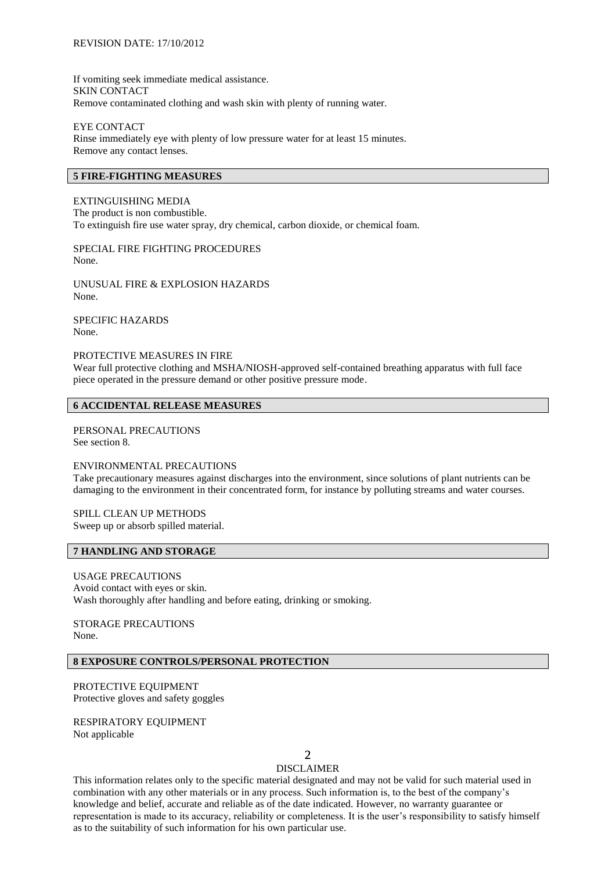If vomiting seek immediate medical assistance. SKIN CONTACT Remove contaminated clothing and wash skin with plenty of running water.

EYE CONTACT Rinse immediately eye with plenty of low pressure water for at least 15 minutes. Remove any contact lenses.

# **5 FIRE-FIGHTING MEASURES**

EXTINGUISHING MEDIA The product is non combustible. To extinguish fire use water spray, dry chemical, carbon dioxide, or chemical foam.

SPECIAL FIRE FIGHTING PROCEDURES None.

UNUSUAL FIRE & EXPLOSION HAZARDS None.

SPECIFIC HAZARDS None.

#### PROTECTIVE MEASURES IN FIRE

Wear full protective clothing and MSHA/NIOSH-approved self-contained breathing apparatus with full face piece operated in the pressure demand or other positive pressure mode.

#### **6 ACCIDENTAL RELEASE MEASURES**

PERSONAL PRECAUTIONS See section 8.

#### ENVIRONMENTAL PRECAUTIONS

Take precautionary measures against discharges into the environment, since solutions of plant nutrients can be damaging to the environment in their concentrated form, for instance by polluting streams and water courses.

## SPILL CLEAN UP METHODS

Sweep up or absorb spilled material.

### **7 HANDLING AND STORAGE**

USAGE PRECAUTIONS Avoid contact with eyes or skin. Wash thoroughly after handling and before eating, drinking or smoking.

STORAGE PRECAUTIONS None.

# **8 EXPOSURE CONTROLS/PERSONAL PROTECTION**

PROTECTIVE EQUIPMENT Protective gloves and safety goggles

RESPIRATORY EQUIPMENT Not applicable

# $\mathcal{D}$

# DISCLAIMER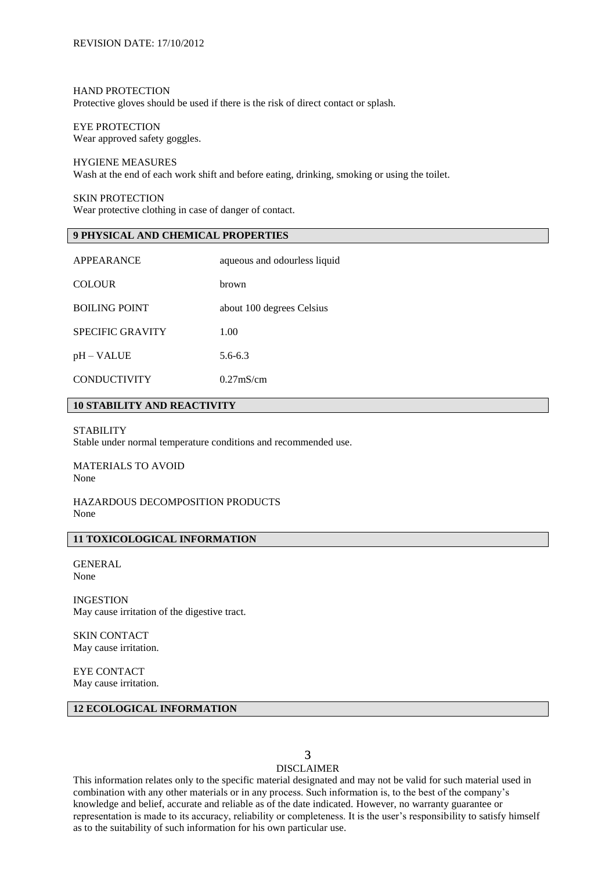#### HAND PROTECTION

Protective gloves should be used if there is the risk of direct contact or splash.

# EYE PROTECTION

Wear approved safety goggles.

#### HYGIENE MEASURES

Wash at the end of each work shift and before eating, drinking, smoking or using the toilet.

SKIN PROTECTION Wear protective clothing in case of danger of contact.

# **9 PHYSICAL AND CHEMICAL PROPERTIES**

| APPEARANCE              | aqueous and odourless liquid |  |  |
|-------------------------|------------------------------|--|--|
| <b>COLOUR</b>           | hrown                        |  |  |
| <b>BOILING POINT</b>    | about 100 degrees Celsius    |  |  |
| <b>SPECIFIC GRAVITY</b> | 1.00                         |  |  |
| pH – VALUE              | $5.6 - 6.3$                  |  |  |
| <b>CONDUCTIVITY</b>     | $0.27$ m $S/cm$              |  |  |

# **10 STABILITY AND REACTIVITY**

#### **STABILITY**

Stable under normal temperature conditions and recommended use.

MATERIALS TO AVOID None

# HAZARDOUS DECOMPOSITION PRODUCTS None

# **11 TOXICOLOGICAL INFORMATION**

**GENERAL** None

INGESTION May cause irritation of the digestive tract.

SKIN CONTACT May cause irritation.

EYE CONTACT May cause irritation.

### **12 ECOLOGICAL INFORMATION**

# 3

# DISCLAIMER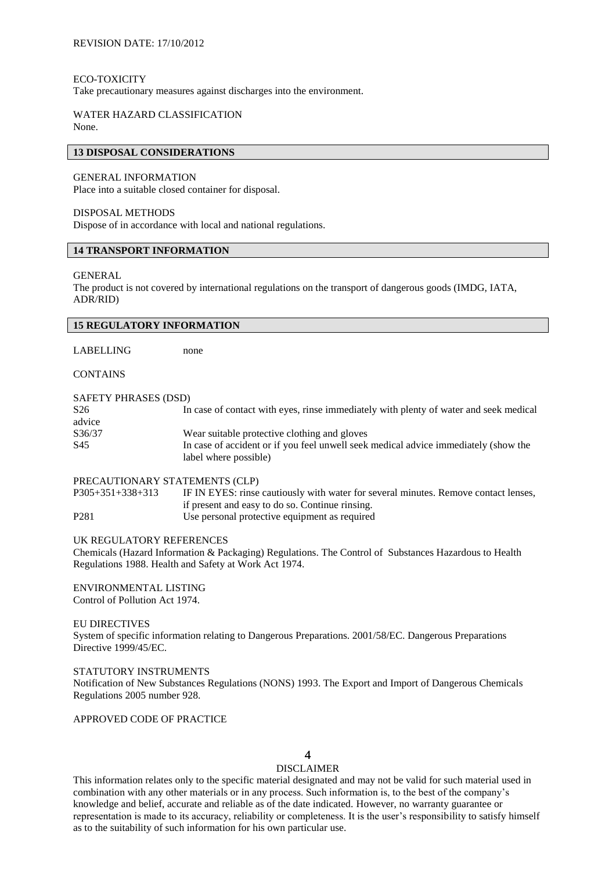#### ECO-TOXICITY

Take precautionary measures against discharges into the environment.

#### WATER HAZARD CLASSIFICATION None.

#### **13 DISPOSAL CONSIDERATIONS**

#### GENERAL INFORMATION

Place into a suitable closed container for disposal.

#### DISPOSAL METHODS

Dispose of in accordance with local and national regulations.

# **14 TRANSPORT INFORMATION**

#### GENERAL

The product is not covered by international regulations on the transport of dangerous goods (IMDG, IATA, ADR/RID)

| <b>15 REGULATORY INFORMATION</b> |                                                                                       |  |  |  |
|----------------------------------|---------------------------------------------------------------------------------------|--|--|--|
|                                  |                                                                                       |  |  |  |
| LABELLING                        | none                                                                                  |  |  |  |
| <b>CONTAINS</b>                  |                                                                                       |  |  |  |
| SAFETY PHRASES (DSD)             |                                                                                       |  |  |  |
| S <sub>26</sub>                  | In case of contact with eyes, rinse immediately with plenty of water and seek medical |  |  |  |
| advice                           |                                                                                       |  |  |  |
| S36/37                           | Wear suitable protective clothing and gloves                                          |  |  |  |
| S <sub>45</sub>                  | In case of accident or if you feel unwell seek medical advice immediately (show the   |  |  |  |
|                                  | label where possible)                                                                 |  |  |  |
| PRECAUTIONARY STATEMENTS (CLP)   |                                                                                       |  |  |  |
| $P305+351+338+313$               | IF IN EYES: rinse cautiously with water for several minutes. Remove contact lenses,   |  |  |  |
|                                  | if present and easy to do so. Continue rinsing.                                       |  |  |  |

P281 Use personal protective equipment as required

#### UK REGULATORY REFERENCES

Chemicals (Hazard Information & Packaging) Regulations. The Control of Substances Hazardous to Health Regulations 1988. Health and Safety at Work Act 1974.

# ENVIRONMENTAL LISTING

Control of Pollution Act 1974.

#### EU DIRECTIVES

System of specific information relating to Dangerous Preparations. 2001/58/EC. Dangerous Preparations Directive 1999/45/EC.

#### STATUTORY INSTRUMENTS

Notification of New Substances Regulations (NONS) 1993. The Export and Import of Dangerous Chemicals Regulations 2005 number 928.

APPROVED CODE OF PRACTICE

# $\boldsymbol{\Lambda}$

## DISCLAIMER